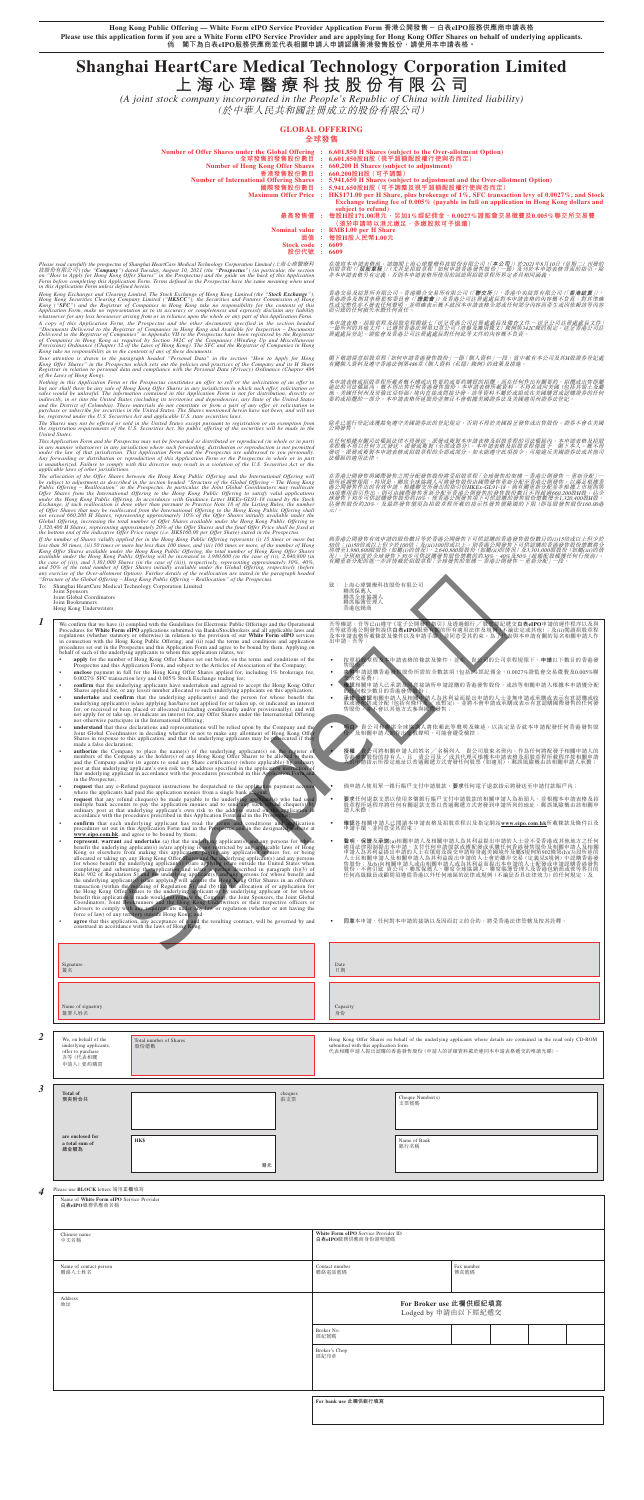**Hong Kong Public Offering — White Form eIPO Service Provider Application Form 香港公開發售-白表eIPO服務供應商申請表格 Please use this application form if you are a White Form eIPO Service Provider and are applying for Hong Kong Offer Shares on behalf of underlying applicants. 倘 閣下為白表eIPO服務供應商並代表相關申請人申請認購香港發售股份,請使用本申請表格。**

# **Shanghai HeartCare Medical Technology Corporation Limited**

**上海心瑋醫療科技股份有限公司**

*(A joint stock company incorporated in the People's Republic of China with limited liability)* (於中華人民共和國註冊成立的股份有限公司)

# **GLOBAL OFFERING**

# **全球發售**

- **Number of Offer Shares under the Global Offering : 6,601,850 H Shares (subject to the Over-allotment Option) 全球發售的發售股份數目 : 6,601,850股H股(視乎超額配股權行使與否而定)** Number of Hong Kong Offer Shares : 660,200 H Shares (subject to adjustment)<br>香港發售股份數目 : 660,200股知识 ( 56,200 m )<br>Number of International Offering Shares : 5,941,650 H Shares (subject to adjustment and the Over-allotment Opt 國際發售股份數目 : 5,941,650股H股 (可予調整及視乎超額配股權行使與否而定)<br>Maximum Offer Price : HK\$171.00 per H Share, plus brokerage of 1%, SFC transaction levy of 0.0027%, and Stock<br>Exchange trading fee of 0.005% (payable in full on application in **subject to refund)**
	- **最高發售價 : 每股H股171.00港元,另加1%經紀佣金、0.0027%證監會交易徵費及0.005%聯交所交易費 (須於申請時以港元繳足,多繳股款可予退還)**

**Nominal value : RMB1.00 per H Share 面值 : 每股H股人民幣1.00元**

**Stock code** : 6609<br>股份代號 : 6609

**股份代號 : 6609**

Please read carefully the prospectus of Shanghai HeartCare Medical Technology Corporation Limited (上海常解禁科<br>技股份有限公司) (the "**Company**") dated Tuesday, August 10, 2021 (the "**Prospectus**") (in particular, the section<br>on "How

Hong Kong Exchanges and Clearing Limited, The Stock Exchange of Hong Kong Limited (the "Stock Exchange"),<br>Hong Kong Securities Clearing Company Limited ("HKSCC"), the Securities and Futures Commission of Hong<br>Kong ("SPC")

Your attention is drawn to the paragraph headed "Personal Data" in the section "How to Apply for Hong<br>Kong Offer Shares" in the Prospectus which sets out the policies and practices of the Company and its H Share<br>Registrar

Nothing in this Application Form or the Prospectus constitutes an offer to sell or the solicitation of an offer to holy nor shall there be any sale of Hong Kong Offer Shares in any jurisdiction in which such offer, solicit

This Application Form and the Prospectus may not be forwarded or distributed or reproduction (in whole or in part)<br>in any manner whatsoever in any jurisdiction where such forwarding, distribution or reproduction is not pe

- ‧ 倘申請人使用單一銀行賬戶支付申請股款,**要求**任何電子退款指示將發送至申請付款賬戶內;
- 要求任何退款支票以使用多個銀行賬戶支付申請股款的相關申請人為抬頭人,並根據本申請表格及招<br>股章程所述程序將任何有關退款支票以普通郵遞方式寄發到申請所列的地址,郵誤風險概由該相關申<br>請人承擔;
- **確認**各相關申請人已閲讀本申請表格及招股章程以及指定網站www.eipo.com.hk所載條款及條件以及<br>申請手續,並同意受其約束;

在香港公開發售與國際發售之間分配發售股份將受招股章程「全球發售的架構一香港公開發售 - 重新分配」一<br>節所述調整規限。特別是 - 聯席全球協調人可將發售股份由國際發售重新分配至香港公開發售,以滿足根據香<br>港公開發售作出的有效申請。根據聯交所發出的指引信HKEx-GL91-18,倘有關重新分配並非根據上市規則第<br>18項應用指引作出,則可由國際發售重新分配至香港公開發售的發售股份數目不得超過660,200股H股,佔全 球發售下初步可供認購發售股份約10%,使香港公開發售項下可供認購的發售股份總數增至1,320,400股H股,<br>佔發售股份約20%,及最終發售價須為招股章程所載的指示性發售價範圍的下限 (即每股發售股份160.00港 元)。

倘香港公開發售有效申請的股份數目等於香港公開發售下可供認購的香港發售股份數目的(i)15倍或以上但少於<br>50倍;(ii)50倍或以上但少於100倍;及(iii)100倍或以上,則香港公開發售下可供認購的香港發售股份總數將分 別増至1,980,600股股份(如屬(i)的情況)、2,640,800股股份(如屬(ii)的情況)及3,301,000股股份(如屬(iii)的情<br>況)・分別相當於全球委售下初歩可供認購發售股合總要的約30%、40%及50%(超額配股権獲任何行使前)。<br>有關重新分配的進一步詳情載於招股章程「全球發售的架構一香港公開發售- 重新分配」一段。

致: 上海心瑋醫療科技股份有限公司<br>聯席保薦人<br>聯席全球協調人

# 在填寫本申請表格前,請細聞上海心瑋醫療科技股份有限公司(| **本公司**」) 於2021年8月10日 (星期二) 刊發的<br>招股章程(「**招股章程**」) (尤其是招股章程「如何申請春港發售股份」一節) 及刊於本申請表格背面的指引。除<br>非本申請表格另有定義,否則本申請表格所使用的詞語與招股章程所界定者具相同涵義。

| Joint Global Coordinators<br>Joint Bookrunners<br>Hong Kong Underwriters                    |                                                                                                                                                                                                                                                                                                                                                                                                                                                                                                                                                                                                                                                                                                                                                                                                                                                                                                                                                                                                                                                                                                                                                                                                                                                                                                                                                                                                                                                                                                                                                                                                                                                                                                                                                                                                                                                                                                                                                                                                                                                                                                                                                                                                                                                                                                                                                                                                                                                                                                                                                                                                                                                                                                                                                                                                                                                                                                                                                                                                                                                                                                                                                                                                                                                                                                                                                                                                                                                                                                                                                                                                                                                                                                                                                                                                                                                                                                                                                                                                                                                              |                | 聯席全球協調人<br>聯席賬簿管理人<br>香港包銷商                                                                                                                                                                                                                                                          |                                                                                                                                                                                                                                                                                                                                                                                                                                                                                                                                                                                                                                                                                                                                                                                                                                                                                                                                                                                                                                                                                                   |                    |  |  |  |  |
|---------------------------------------------------------------------------------------------|--------------------------------------------------------------------------------------------------------------------------------------------------------------------------------------------------------------------------------------------------------------------------------------------------------------------------------------------------------------------------------------------------------------------------------------------------------------------------------------------------------------------------------------------------------------------------------------------------------------------------------------------------------------------------------------------------------------------------------------------------------------------------------------------------------------------------------------------------------------------------------------------------------------------------------------------------------------------------------------------------------------------------------------------------------------------------------------------------------------------------------------------------------------------------------------------------------------------------------------------------------------------------------------------------------------------------------------------------------------------------------------------------------------------------------------------------------------------------------------------------------------------------------------------------------------------------------------------------------------------------------------------------------------------------------------------------------------------------------------------------------------------------------------------------------------------------------------------------------------------------------------------------------------------------------------------------------------------------------------------------------------------------------------------------------------------------------------------------------------------------------------------------------------------------------------------------------------------------------------------------------------------------------------------------------------------------------------------------------------------------------------------------------------------------------------------------------------------------------------------------------------------------------------------------------------------------------------------------------------------------------------------------------------------------------------------------------------------------------------------------------------------------------------------------------------------------------------------------------------------------------------------------------------------------------------------------------------------------------------------------------------------------------------------------------------------------------------------------------------------------------------------------------------------------------------------------------------------------------------------------------------------------------------------------------------------------------------------------------------------------------------------------------------------------------------------------------------------------------------------------------------------------------------------------------------------------------------------------------------------------------------------------------------------------------------------------------------------------------------------------------------------------------------------------------------------------------------------------------------------------------------------------------------------------------------------------------------------------------------------------------------------------------------------------------------|----------------|--------------------------------------------------------------------------------------------------------------------------------------------------------------------------------------------------------------------------------------------------------------------------------------|---------------------------------------------------------------------------------------------------------------------------------------------------------------------------------------------------------------------------------------------------------------------------------------------------------------------------------------------------------------------------------------------------------------------------------------------------------------------------------------------------------------------------------------------------------------------------------------------------------------------------------------------------------------------------------------------------------------------------------------------------------------------------------------------------------------------------------------------------------------------------------------------------------------------------------------------------------------------------------------------------------------------------------------------------------------------------------------------------|--------------------|--|--|--|--|
| made a false declaration;<br>$\bullet$<br>in the Prospectus;<br>$\bullet$<br>$\bullet$      | We confirm that we have (i) complied with the Guidelines for Electronic Public Offerings and the Operational<br>Procedures for White Form eIPO applications submitted via Banks/Stockbrokers and all applicable laws and<br>regulations (whether statutory or otherwise) in relation to the provision of our White Form eIPO services<br>in connection with the Hong Kong Public Offering; and (ii) read the terms and conditions and application<br>procedures set out in the Prospectus and this Application Form and agree to be bound by them. Applying on<br>behalf of each of the underlying applicants to whom this application relates, we:<br>apply for the number of Hong Kong Offer Shares set out below, on the terms and conditions of the<br>Prospectus and this Application Form, and subject to the Articles of Association of the Company;<br>enclose payment in full for the Hong Kong Offer Shares applied for, including $1\%$ brokerage fee, 0.0027% SFC transaction levy and 0.005% Stock Exchange trading fee;<br>confirm that the underlying applicants have undertaken and agreed to accept the Hong Kong Offer<br>Shares applied for, or any lesser number allocated to such underlying applicants on this application;<br>undertake and confirm that the underlying applicant(s) and the person for whose benefit the<br>underlying applicant(s) is/are applying has/have not applied for or taken up, or indicated an interest<br>for, or received or been placed or allocated (including conditionally and/or provisionally), and will<br>not apply for or take up, or indicate an interest for, any Offer Shares under the International Offering<br>nor otherwise participate in the International Offering;<br>understand that these declarations and representations will be relied upon by the Company and the<br>Joint Global Coordinators in deciding whether or not to make any allotment of Hong Kong Offer<br>Shares in response to this application, and that the underlying applicants may be prosecuted if they<br><b>authorize</b> the Company to place the name(s) of the underlying applicant(s) on the register of<br>members of the Company as the holder(s) of any Hong Kong Offer Shares to be allotted to them,<br>and the Company and/or its agents to send any Share certificate(s) (where applicable) by ordinary<br>post at that underlying applicant's own risk to the address specified in the application instruction of<br>that underlying applicant in accordance with the procedures prescribed in this Application Form and<br>request that any e-Refund payment instructions be despatched to the application payment account<br>where the applicants had paid the application monies from a single bank account<br>request that any refund cheque(s) be made payable to the underlying applicant(s) who had used<br>multiple bank accounts to pay the application monies and to send any stell refind the<br>quees by ordinary post at that underlying applicant's own risk to the address stated on the application<br>accordance with the procedures p<br>confirm that each underlying applicant has read the terms and conditions and application<br>procedures set out in this Application Form and in the Prospectus and in the designated vebsite at<br>www.eipo.com.hk, and agree to be bound by them;<br><b>represent, warrant</b> and <b>undertake</b> (a) that the underlying applicant(s) and any persons for whose benefit the underlying applicant(s) is/are applying is not restricted by any applicable laws of Hong<br>benefit the underlying applicantis) is size applying is port-extracted by any application and Kong or elevatore from making this application, paying application priority for the form allocated or taking up, any home prope<br>force of law) of any territory outside Hong Kong; and<br>agree that this application, any acceptance of it and the resulting contract, will be governed by and<br>construed in accordance with the laws of Hong Kong. |                | 吾等確認,吾等已(i)遵守《電子公開發售指引》及透過銀行 / 股票經紀遞交白表eIPO申請的運作程序以及與<br>吾等就香港公開發皆提供白表LPO服務有開心 8522型 851/ 以示空風感文 <b>日衣elfU</b> 中前的理作結片以及與<br>及本申請表格所載條款及條件以及申請手續,並同意受其約束(有論法定或其他);及(ii)閱讀相股資程<br>出申請 , 吾等:<br>出申請 , 吾等:<br>售股份;<br>交所交易費);<br>的任何較少數目的香港發售股份;<br>$\bullet$<br>請人承擔;<br>申請手續,並同意受其約束; | 按照招股章程及本申請表格的條款及條件,並在 貴公司的公司章程規限下,申請以下數目的香港發<br>夾附申請認購香港發售股份所需的全數款項(包括1%經紀佣金、0.0027%證監會交易徵費及0.005%聯<br>確認相關申請人已承諾及同意接納所申請認購的香港發售股份,或該等相關申請人根據本申請獲分配<br>承諾及確認相關申請人及相關申請人為其利益而提出申請的人士並無申請或承購或表示有意認購或收<br>取或獲配售或分配 (包括有條件及/或暫定), 並將不會申請或承購或表示有意認購國際發售的任何發<br>售股份,亦不會以其他方式參與國際發售;<br>貴公司和聯席全球協調人將依賴此等聲明及陳述,以決定是否就本申請配發任何香港發售股<br>▶及相關申請人如作出虛假聲明,可能會遭受檢控;<br><b>授權 世公司將相關申請人的姓名/名稱列入 貴公司股東名冊內,作為任何將配發予相關申請人的</b><br>香港發煙脫份的持有人、且 賞公司及/或其代理可根據本申請表格及招股章程所載程序按相關申請<br>人的伊請指示所指定地址以普通郵遞方式寄發任何股票 (如適用),郵誤風險概由該相關申請人承擔;<br>倘申請人使用單一銀行賬戶支付申請股款,要求任何電子退款指示將發送至申請付款賬戶內;<br>要求任何退款支票以使用多個銀行賬戶支付申請股款的相關申請人為抬頭人,並根據本申請表格及招<br>股章程所述程序將任何有關退款支票以普通郵遞方式寄發到申請所列的地址,郵誤風險概由該相關申<br>確認各相關申請人已閲讀本申請表格及招股章程以及指定網站www.eipo.com.hk所載條款及條件以及<br>聲明、保證及承諾(a)相關申請人及相關申請人為其利益提出申請的人士並不受香港或其他地方之任何<br>雪,休建及承霜(3)和胸甲市公及他胸中雨穴高县村监控中甲市的大工业不安省他吸入机關申請人及相關,指定人制提出本申請、大付任何申請股款或獲配資源手提好及基5規例第902條第(h)及相關申請人及世間中請人為其利益提出申請的人士在填寫及提交申請時身處美國境外及屬5規例第902條第(h)及相關申請人及相關申請人為其利益提出申請的人士在填寫及提交申請時身處美國境外及屬5規例第902條第(h)及相關申請人及由開申請人或由相關申請人或為其利益而提出本<br>任何高級職員或顧問須遵從香港以外任何地區的法律或規例 (不論是否具法律效力) 的任何規定; 及<br>同意本申請、任何對本申請的接納以及因而訂立的合約,將受香港法律管轄及按其詮釋。 |                    |  |  |  |  |
| Signature                                                                                   |                                                                                                                                                                                                                                                                                                                                                                                                                                                                                                                                                                                                                                                                                                                                                                                                                                                                                                                                                                                                                                                                                                                                                                                                                                                                                                                                                                                                                                                                                                                                                                                                                                                                                                                                                                                                                                                                                                                                                                                                                                                                                                                                                                                                                                                                                                                                                                                                                                                                                                                                                                                                                                                                                                                                                                                                                                                                                                                                                                                                                                                                                                                                                                                                                                                                                                                                                                                                                                                                                                                                                                                                                                                                                                                                                                                                                                                                                                                                                                                                                                                              |                | Date                                                                                                                                                                                                                                                                                 |                                                                                                                                                                                                                                                                                                                                                                                                                                                                                                                                                                                                                                                                                                                                                                                                                                                                                                                                                                                                                                                                                                   |                    |  |  |  |  |
| 簽名                                                                                          |                                                                                                                                                                                                                                                                                                                                                                                                                                                                                                                                                                                                                                                                                                                                                                                                                                                                                                                                                                                                                                                                                                                                                                                                                                                                                                                                                                                                                                                                                                                                                                                                                                                                                                                                                                                                                                                                                                                                                                                                                                                                                                                                                                                                                                                                                                                                                                                                                                                                                                                                                                                                                                                                                                                                                                                                                                                                                                                                                                                                                                                                                                                                                                                                                                                                                                                                                                                                                                                                                                                                                                                                                                                                                                                                                                                                                                                                                                                                                                                                                                                              |                | 日期                                                                                                                                                                                                                                                                                   |                                                                                                                                                                                                                                                                                                                                                                                                                                                                                                                                                                                                                                                                                                                                                                                                                                                                                                                                                                                                                                                                                                   |                    |  |  |  |  |
| Name of signatory<br>簽署人姓名                                                                  |                                                                                                                                                                                                                                                                                                                                                                                                                                                                                                                                                                                                                                                                                                                                                                                                                                                                                                                                                                                                                                                                                                                                                                                                                                                                                                                                                                                                                                                                                                                                                                                                                                                                                                                                                                                                                                                                                                                                                                                                                                                                                                                                                                                                                                                                                                                                                                                                                                                                                                                                                                                                                                                                                                                                                                                                                                                                                                                                                                                                                                                                                                                                                                                                                                                                                                                                                                                                                                                                                                                                                                                                                                                                                                                                                                                                                                                                                                                                                                                                                                                              |                | Capacity<br>身份                                                                                                                                                                                                                                                                       |                                                                                                                                                                                                                                                                                                                                                                                                                                                                                                                                                                                                                                                                                                                                                                                                                                                                                                                                                                                                                                                                                                   |                    |  |  |  |  |
| We, on behalf of the<br>underlying applicants,<br>offer to purchase<br>吾等(代表相關<br>申請人) 要約購買 | Total number of Shares<br>股份總數                                                                                                                                                                                                                                                                                                                                                                                                                                                                                                                                                                                                                                                                                                                                                                                                                                                                                                                                                                                                                                                                                                                                                                                                                                                                                                                                                                                                                                                                                                                                                                                                                                                                                                                                                                                                                                                                                                                                                                                                                                                                                                                                                                                                                                                                                                                                                                                                                                                                                                                                                                                                                                                                                                                                                                                                                                                                                                                                                                                                                                                                                                                                                                                                                                                                                                                                                                                                                                                                                                                                                                                                                                                                                                                                                                                                                                                                                                                                                                                                                               |                | Hong Kong Offer Shares on behalf of the underlying applicants whose details are contained in the read only CD-ROM<br>submitted with this application form.<br>代表相關申請人提出認購的香港發售股份(申請人的詳細資料載於連同本申請表格遞交的唯讀光碟)。                                                                          |                                                                                                                                                                                                                                                                                                                                                                                                                                                                                                                                                                                                                                                                                                                                                                                                                                                                                                                                                                                                                                                                                                   |                    |  |  |  |  |
| <b>Total of</b><br>現夾附合共                                                                    |                                                                                                                                                                                                                                                                                                                                                                                                                                                                                                                                                                                                                                                                                                                                                                                                                                                                                                                                                                                                                                                                                                                                                                                                                                                                                                                                                                                                                                                                                                                                                                                                                                                                                                                                                                                                                                                                                                                                                                                                                                                                                                                                                                                                                                                                                                                                                                                                                                                                                                                                                                                                                                                                                                                                                                                                                                                                                                                                                                                                                                                                                                                                                                                                                                                                                                                                                                                                                                                                                                                                                                                                                                                                                                                                                                                                                                                                                                                                                                                                                                                              | cheques<br>張支票 |                                                                                                                                                                                                                                                                                      | Cheque Number(s)<br>支票號碼                                                                                                                                                                                                                                                                                                                                                                                                                                                                                                                                                                                                                                                                                                                                                                                                                                                                                                                                                                                                                                                                          |                    |  |  |  |  |
|                                                                                             |                                                                                                                                                                                                                                                                                                                                                                                                                                                                                                                                                                                                                                                                                                                                                                                                                                                                                                                                                                                                                                                                                                                                                                                                                                                                                                                                                                                                                                                                                                                                                                                                                                                                                                                                                                                                                                                                                                                                                                                                                                                                                                                                                                                                                                                                                                                                                                                                                                                                                                                                                                                                                                                                                                                                                                                                                                                                                                                                                                                                                                                                                                                                                                                                                                                                                                                                                                                                                                                                                                                                                                                                                                                                                                                                                                                                                                                                                                                                                                                                                                                              |                |                                                                                                                                                                                                                                                                                      |                                                                                                                                                                                                                                                                                                                                                                                                                                                                                                                                                                                                                                                                                                                                                                                                                                                                                                                                                                                                                                                                                                   |                    |  |  |  |  |
| are enclosed for<br>a total sum of<br>總金額為                                                  | <b>HK\$</b>                                                                                                                                                                                                                                                                                                                                                                                                                                                                                                                                                                                                                                                                                                                                                                                                                                                                                                                                                                                                                                                                                                                                                                                                                                                                                                                                                                                                                                                                                                                                                                                                                                                                                                                                                                                                                                                                                                                                                                                                                                                                                                                                                                                                                                                                                                                                                                                                                                                                                                                                                                                                                                                                                                                                                                                                                                                                                                                                                                                                                                                                                                                                                                                                                                                                                                                                                                                                                                                                                                                                                                                                                                                                                                                                                                                                                                                                                                                                                                                                                                                  |                |                                                                                                                                                                                                                                                                                      | Name of Bank<br>銀行名稱                                                                                                                                                                                                                                                                                                                                                                                                                                                                                                                                                                                                                                                                                                                                                                                                                                                                                                                                                                                                                                                                              |                    |  |  |  |  |
|                                                                                             | 港元                                                                                                                                                                                                                                                                                                                                                                                                                                                                                                                                                                                                                                                                                                                                                                                                                                                                                                                                                                                                                                                                                                                                                                                                                                                                                                                                                                                                                                                                                                                                                                                                                                                                                                                                                                                                                                                                                                                                                                                                                                                                                                                                                                                                                                                                                                                                                                                                                                                                                                                                                                                                                                                                                                                                                                                                                                                                                                                                                                                                                                                                                                                                                                                                                                                                                                                                                                                                                                                                                                                                                                                                                                                                                                                                                                                                                                                                                                                                                                                                                                                           |                |                                                                                                                                                                                                                                                                                      |                                                                                                                                                                                                                                                                                                                                                                                                                                                                                                                                                                                                                                                                                                                                                                                                                                                                                                                                                                                                                                                                                                   |                    |  |  |  |  |
| Please use BLOCK letters 請用正楷填寫<br>Name of White Form eIPO Service Provider                 |                                                                                                                                                                                                                                                                                                                                                                                                                                                                                                                                                                                                                                                                                                                                                                                                                                                                                                                                                                                                                                                                                                                                                                                                                                                                                                                                                                                                                                                                                                                                                                                                                                                                                                                                                                                                                                                                                                                                                                                                                                                                                                                                                                                                                                                                                                                                                                                                                                                                                                                                                                                                                                                                                                                                                                                                                                                                                                                                                                                                                                                                                                                                                                                                                                                                                                                                                                                                                                                                                                                                                                                                                                                                                                                                                                                                                                                                                                                                                                                                                                                              |                |                                                                                                                                                                                                                                                                                      |                                                                                                                                                                                                                                                                                                                                                                                                                                                                                                                                                                                                                                                                                                                                                                                                                                                                                                                                                                                                                                                                                                   |                    |  |  |  |  |
| 白表eIPO服務供應商名稱                                                                               |                                                                                                                                                                                                                                                                                                                                                                                                                                                                                                                                                                                                                                                                                                                                                                                                                                                                                                                                                                                                                                                                                                                                                                                                                                                                                                                                                                                                                                                                                                                                                                                                                                                                                                                                                                                                                                                                                                                                                                                                                                                                                                                                                                                                                                                                                                                                                                                                                                                                                                                                                                                                                                                                                                                                                                                                                                                                                                                                                                                                                                                                                                                                                                                                                                                                                                                                                                                                                                                                                                                                                                                                                                                                                                                                                                                                                                                                                                                                                                                                                                                              |                |                                                                                                                                                                                                                                                                                      |                                                                                                                                                                                                                                                                                                                                                                                                                                                                                                                                                                                                                                                                                                                                                                                                                                                                                                                                                                                                                                                                                                   |                    |  |  |  |  |
| Chinese name<br>中文名稱                                                                        |                                                                                                                                                                                                                                                                                                                                                                                                                                                                                                                                                                                                                                                                                                                                                                                                                                                                                                                                                                                                                                                                                                                                                                                                                                                                                                                                                                                                                                                                                                                                                                                                                                                                                                                                                                                                                                                                                                                                                                                                                                                                                                                                                                                                                                                                                                                                                                                                                                                                                                                                                                                                                                                                                                                                                                                                                                                                                                                                                                                                                                                                                                                                                                                                                                                                                                                                                                                                                                                                                                                                                                                                                                                                                                                                                                                                                                                                                                                                                                                                                                                              |                | White Form eIPO Service Provider ID<br>白表eIPO服務供應商身份證明號碼                                                                                                                                                                                                                             |                                                                                                                                                                                                                                                                                                                                                                                                                                                                                                                                                                                                                                                                                                                                                                                                                                                                                                                                                                                                                                                                                                   |                    |  |  |  |  |
| Name of contact person<br>聯絡人士姓名                                                            |                                                                                                                                                                                                                                                                                                                                                                                                                                                                                                                                                                                                                                                                                                                                                                                                                                                                                                                                                                                                                                                                                                                                                                                                                                                                                                                                                                                                                                                                                                                                                                                                                                                                                                                                                                                                                                                                                                                                                                                                                                                                                                                                                                                                                                                                                                                                                                                                                                                                                                                                                                                                                                                                                                                                                                                                                                                                                                                                                                                                                                                                                                                                                                                                                                                                                                                                                                                                                                                                                                                                                                                                                                                                                                                                                                                                                                                                                                                                                                                                                                                              |                | Contact number<br>聯絡電話號碼                                                                                                                                                                                                                                                             |                                                                                                                                                                                                                                                                                                                                                                                                                                                                                                                                                                                                                                                                                                                                                                                                                                                                                                                                                                                                                                                                                                   | Fax number<br>傳真號碼 |  |  |  |  |
| Address<br>地址                                                                               |                                                                                                                                                                                                                                                                                                                                                                                                                                                                                                                                                                                                                                                                                                                                                                                                                                                                                                                                                                                                                                                                                                                                                                                                                                                                                                                                                                                                                                                                                                                                                                                                                                                                                                                                                                                                                                                                                                                                                                                                                                                                                                                                                                                                                                                                                                                                                                                                                                                                                                                                                                                                                                                                                                                                                                                                                                                                                                                                                                                                                                                                                                                                                                                                                                                                                                                                                                                                                                                                                                                                                                                                                                                                                                                                                                                                                                                                                                                                                                                                                                                              |                | For Broker use 此欄供經紀填寫<br>Lodged by 申請由以下經紀遞交                                                                                                                                                                                                                                        |                                                                                                                                                                                                                                                                                                                                                                                                                                                                                                                                                                                                                                                                                                                                                                                                                                                                                                                                                                                                                                                                                                   |                    |  |  |  |  |
|                                                                                             |                                                                                                                                                                                                                                                                                                                                                                                                                                                                                                                                                                                                                                                                                                                                                                                                                                                                                                                                                                                                                                                                                                                                                                                                                                                                                                                                                                                                                                                                                                                                                                                                                                                                                                                                                                                                                                                                                                                                                                                                                                                                                                                                                                                                                                                                                                                                                                                                                                                                                                                                                                                                                                                                                                                                                                                                                                                                                                                                                                                                                                                                                                                                                                                                                                                                                                                                                                                                                                                                                                                                                                                                                                                                                                                                                                                                                                                                                                                                                                                                                                                              |                | Broker No.<br>經紀號碼                                                                                                                                                                                                                                                                   |                                                                                                                                                                                                                                                                                                                                                                                                                                                                                                                                                                                                                                                                                                                                                                                                                                                                                                                                                                                                                                                                                                   |                    |  |  |  |  |
|                                                                                             |                                                                                                                                                                                                                                                                                                                                                                                                                                                                                                                                                                                                                                                                                                                                                                                                                                                                                                                                                                                                                                                                                                                                                                                                                                                                                                                                                                                                                                                                                                                                                                                                                                                                                                                                                                                                                                                                                                                                                                                                                                                                                                                                                                                                                                                                                                                                                                                                                                                                                                                                                                                                                                                                                                                                                                                                                                                                                                                                                                                                                                                                                                                                                                                                                                                                                                                                                                                                                                                                                                                                                                                                                                                                                                                                                                                                                                                                                                                                                                                                                                                              |                | Broker's Chop<br>經紀印章                                                                                                                                                                                                                                                                |                                                                                                                                                                                                                                                                                                                                                                                                                                                                                                                                                                                                                                                                                                                                                                                                                                                                                                                                                                                                                                                                                                   |                    |  |  |  |  |
|                                                                                             |                                                                                                                                                                                                                                                                                                                                                                                                                                                                                                                                                                                                                                                                                                                                                                                                                                                                                                                                                                                                                                                                                                                                                                                                                                                                                                                                                                                                                                                                                                                                                                                                                                                                                                                                                                                                                                                                                                                                                                                                                                                                                                                                                                                                                                                                                                                                                                                                                                                                                                                                                                                                                                                                                                                                                                                                                                                                                                                                                                                                                                                                                                                                                                                                                                                                                                                                                                                                                                                                                                                                                                                                                                                                                                                                                                                                                                                                                                                                                                                                                                                              |                |                                                                                                                                                                                                                                                                                      |                                                                                                                                                                                                                                                                                                                                                                                                                                                                                                                                                                                                                                                                                                                                                                                                                                                                                                                                                                                                                                                                                                   |                    |  |  |  |  |
|                                                                                             |                                                                                                                                                                                                                                                                                                                                                                                                                                                                                                                                                                                                                                                                                                                                                                                                                                                                                                                                                                                                                                                                                                                                                                                                                                                                                                                                                                                                                                                                                                                                                                                                                                                                                                                                                                                                                                                                                                                                                                                                                                                                                                                                                                                                                                                                                                                                                                                                                                                                                                                                                                                                                                                                                                                                                                                                                                                                                                                                                                                                                                                                                                                                                                                                                                                                                                                                                                                                                                                                                                                                                                                                                                                                                                                                                                                                                                                                                                                                                                                                                                                              |                | For bank use 此欄供銀行填寫                                                                                                                                                                                                                                                                 |                                                                                                                                                                                                                                                                                                                                                                                                                                                                                                                                                                                                                                                                                                                                                                                                                                                                                                                                                                                                                                                                                                   |                    |  |  |  |  |

除非已進行登記或獲豁免遵守美國證券法的登記規定,否則不得於美國提呈發售或出售股份。證券不會在美國 公開發售。

在任何根據有關司法權區法律不得發送、派發或複製本申請表格及招股章程的司法權區內,本申請表格及招股<br>章程概不得以任何方式發送、派發或複製(全部或部分)。本申請表格及招股章程僅致予 閣下本人。概不得<br>發送、派發或複製本申請表格或招股章程的全部或部分。如未能遵守此項指令,可能建反美國證券法或其他司

- 按照招股章程及本申請表格的條款及條件,並在 貴公司的公司章程規限下,**申請**以下數目的香港發<br>售股份;
- **夾附**申請認購香港發售股份所需的全數款項 (包括1%經紀佣金、0.0027%證監會交易徵費及0.005%聯<br>交所交易費);
- **確認**相關申請人已承諾及同意接納所申請認購的香港發售股份,或該等相關申請人根據本申請獲分配<br>的任何較少數目的香港發售股份;
- **承諾**及確認相關申請人及相關申請人為其利益而提出申請的人士並無申請或承購或表示有意認購或收<br>取或獲配售或分配 (包括有條件及/或暫定)、並將不會申請或承購或表示有意認購國際發售的任何發<br>售股份,亦不會以其他方式參與國際發售;
- **明白** 貴公司和聯席全球協調人將依賴此等聲明及陳述,以決定是否就本申請配發任何香港發售股<br>◎ 及相關申請人如作出虛假聲明,可能會遭受檢控;

- T<br>
We confirm that we have (i) complied with the Guidelines for Electronic Public Offerings and the Operational<br>
Procedures for White Form eIPO applications submitted via Bank/Sfockbrokers and al applicable laws and<br>
regu
	-
	- **enclose** payment in full for the Hong Kong Offer Shares applied for, including 1% brokerage fee, 0.0027% SFC transaction levy and 0.005% Stock Exchange trading fee;
	-
	- **confirm** that the underlying applicants have undertakeen and agend to accept the Hong Kong Offer<br>Shares appliced for, or any lesser number allocated to such underlying applicants on this application;<br> **undertake** and
	-
	-
	-
	- where the applicants had paid the application monies from a single bank account.<br> **Computer** that any refund cheque(s) be made payable to the underlying applicant(s) who had used<br>
	multiple bank accounts to pay the applica **• confirm** that each underlying applicant has read the terms and conditions and application procedures set out in this Application Form and in the Prospectus and in the designated website at
	- **www.eipo.com.hk**, and agree to be bound by them;
	- **• Expression**, warrant and undertrials (a) that the underlying application, and any persons for whose konginal and under the allocated or taking this application, power and the underlying application. Some allocated or

香港交易及結算所有限公司、香港聯合交易所有限公司(「**聯交所**」)、香港中央結算有限公司(「**香港結算**」)、<br>香港證券及期貨事務監察委員會(「證**監會**」)及香港公司註冊處處長對本申請表格的內容概不負責,對其準確<br>性或完整性內政法律任何責任。<br>而引致的任何損失承擔任何責任。

本申請表格、招股章程及招股章程附錄七「送呈香港公司註冊處處長及備查文件-送呈公司註冊處處長文件」<br>一節所列的其他文件,已遵照香港法例第32章公司(清盤及雜項條文)條例第342C條的規定,送呈香港公司註<br>冊處處長登記。證監會及香港公司註冊處處長對任何此等文件的內容概不負責。

閣下敬請留意招股章程「如何申請香港發售股份」一節「個人資料」一段,當中載有本公司及其H股證券登記處<br>有關個人資料及遵守香港法例第486章 《個人資料 (私隱) 條例》的政策及措施。

本申請表格或招股章程所有標本標成出售要約或要約購買的招覆,而在任何作出有關要約、招覆或出售即屬<br>建法的司法權區內,概不得出售任何香港發售股份。本申請表格所截資料,不得在或向美國(包括其領土及屬<br>地、美國任何州及哥倫比亞特區)境內直接或間接分參。該等資料不屬於或組成在美國隨買或認購證券的任何